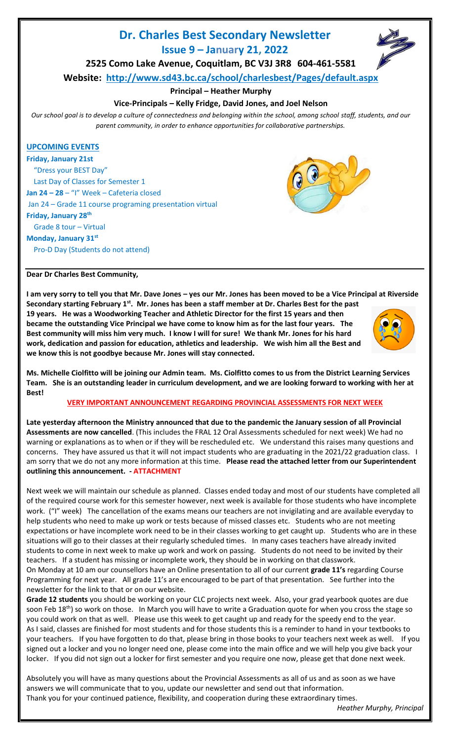# **Dr. Charles Best Secondary Newsletter**

**Issue 9 – January 21, 2022**



**2525 Como Lake Avenue, Coquitlam, BC V3J 3R8 604-461-5581**

**Website: <http://www.sd43.bc.ca/school/charlesbest/Pages/default.aspx>**

**Principal – Heather Murphy**

# **Vice-Principals – Kelly Fridge, David Jones, and Joel Nelson**

*Our school goal is to develop a culture of connectedness and belonging within the school, among school staff, students, and our parent community, in order to enhance opportunities for collaborative partnerships.*

## **UPCOMING EVENTS**

**Friday, January 21st**  "Dress your BEST Day" Last Day of Classes for Semester 1 **Jan 24 – 28** – "I" Week – Cafeteria closed Jan 24 – Grade 11 course programing presentation virtual **Friday, January 28th** Grade 8 tour – Virtual **Monday, January 31st** Pro-D Day (Students do not attend)



#### **Dear Dr Charles Best Community,**

**I am very sorry to tell you that Mr. Dave Jones – yes our Mr. Jones has been moved to be a Vice Principal at Riverside Secondary starting February 1st . Mr. Jones has been a staff member at Dr. Charles Best for the past** 

**19 years. He was a Woodworking Teacher and Athletic Director for the first 15 years and then became the outstanding Vice Principal we have come to know him as for the last four years. The Best community will miss him very much. I know I will for sure! We thank Mr. Jones for his hard work, dedication and passion for education, athletics and leadership. We wish him all the Best and we know this is not goodbye because Mr. Jones will stay connected.**



**Ms. Michelle Ciolfitto will be joining our Admin team. Ms. Ciolfitto comes to us from the District Learning Services Team. She is an outstanding leader in curriculum development, and we are looking forward to working with her at Best!** 

**VERY IMPORTANT ANNOUNCEMENT REGARDING PROVINCIAL ASSESSMENTS FOR NEXT WEEK**

**Late yesterday afternoon the Ministry announced that due to the pandemic the January session of all Provincial Assessments are now cancelled**. (This includes the FRAL 12 Oral Assessments scheduled for next week) We had no warning or explanations as to when or if they will be rescheduled etc. We understand this raises many questions and concerns. They have assured us that it will not impact students who are graduating in the 2021/22 graduation class. I am sorry that we do not any more information at this time. **Please read the attached letter from our Superintendent outlining this announcement. - ATTACHMENT**

Next week we will maintain our schedule as planned. Classes ended today and most of our students have completed all of the required course work for this semester however, next week is available for those students who have incomplete work. ("I" week) The cancellation of the exams means our teachers are not invigilating and are available everyday to help students who need to make up work or tests because of missed classes etc. Students who are not meeting expectations or have incomplete work need to be in their classes working to get caught up. Students who are in these situations will go to their classes at their regularly scheduled times. In many cases teachers have already invited students to come in next week to make up work and work on passing. Students do not need to be invited by their teachers. If a student has missing or incomplete work, they should be in working on that classwork.

On Monday at 10 am our counsellors have an Online presentation to all of our current **grade 11's** regarding Course Programming for next year. All grade 11's are encouraged to be part of that presentation. See further into the newsletter for the link to that or on our website.

**Grade 12 students** you should be working on your CLC projects next week. Also, your grad yearbook quotes are due soon Feb 18<sup>th</sup>) so work on those. In March you will have to write a Graduation quote for when you cross the stage so you could work on that as well. Please use this week to get caught up and ready for the speedy end to the year. As I said, classes are finished for most students and for those students this is a reminder to hand in your textbooks to your teachers. If you have forgotten to do that, please bring in those books to your teachers next week as well. If you signed out a locker and you no longer need one, please come into the main office and we will help you give back your locker. If you did not sign out a locker for first semester and you require one now, please get that done next week.

Absolutely you will have as many questions about the Provincial Assessments as all of us and as soon as we have answers we will communicate that to you, update our newsletter and send out that information. Thank you for your continued patience, flexibility, and cooperation during these extraordinary times.

*Heather Murphy, Principal*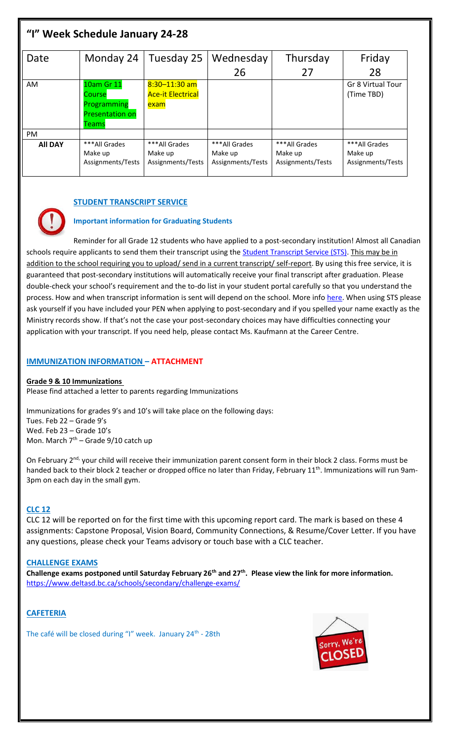| "I" Week Schedule January 24-28 |                                                                        |                                                       |                                               |                                               |                                               |
|---------------------------------|------------------------------------------------------------------------|-------------------------------------------------------|-----------------------------------------------|-----------------------------------------------|-----------------------------------------------|
| Date                            | Monday 24                                                              | Tuesday 25                                            | Wednesday                                     | Thursday                                      | Friday                                        |
|                                 |                                                                        |                                                       | 26                                            | 27                                            | 28                                            |
| AM                              | 10am Gr 11<br>Course<br>Programming<br><b>Presentation on</b><br>Teams | $8:30 - 11:30$ am<br><b>Ace-it Electrical</b><br>exam |                                               |                                               | <b>Gr 8 Virtual Tour</b><br>(Time TBD)        |
| <b>PM</b>                       |                                                                        |                                                       |                                               |                                               |                                               |
| <b>All DAY</b>                  | *** All Grades<br>Make up<br>Assignments/Tests                         | ***All Grades<br>Make up<br>Assignments/Tests         | ***All Grades<br>Make up<br>Assignments/Tests | ***All Grades<br>Make up<br>Assignments/Tests | ***All Grades<br>Make up<br>Assignments/Tests |

# **STUDENT TRANSCRIPT SERVICE**

# **Important information for Graduating Students**

Reminder for all Grade 12 students who have applied to a post-secondary institution! Almost all Canadian schools require applicants to send them their transcript using the **Student Transcript Service (STS)**. This may be in addition to the school requiring you to upload/ send in a current transcript/ self-report. By using this free service, it is guaranteed that post-secondary institutions will automatically receive your final transcript after graduation. Please double-check your school's requirement and the to-do list in your student portal carefully so that you understand the process. How and when transcript information is sent will depend on the school. More inf[o here.](https://www2.gov.bc.ca/gov/content/education-training/k-12/support/transcripts-and-certificates/post-secondary-selection) When using STS please ask yourself if you have included your PEN when applying to post-secondary and if you spelled your name exactly as the Ministry records show. If that's not the case your post-secondary choices may have difficulties connecting your application with your transcript. If you need help, please contact Ms. Kaufmann at the Career Centre.

## **IMMUNIZATION INFORMATION – ATTACHMENT**

## **Grade 9 & 10 Immunizations**

Please find attached a letter to parents regarding Immunizations

Immunizations for grades 9's and 10's will take place on the following days: Tues. Feb 22 – Grade 9's Wed. Feb 23 – Grade 10's Mon. March  $7<sup>th</sup>$  – Grade 9/10 catch up

On February 2<sup>nd,</sup> your child will receive their immunization parent consent form in their block 2 class. Forms must be handed back to their block 2 teacher or dropped office no later than Friday, February 11<sup>th</sup>. Immunizations will run 9am-3pm on each day in the small gym.

# **CLC 12**

CLC 12 will be reported on for the first time with this upcoming report card. The mark is based on these 4 assignments: Capstone Proposal, Vision Board, Community Connections, & Resume/Cover Letter. If you have any questions, please check your Teams advisory or touch base with a CLC teacher.

## **CHALLENGE EXAMS**

**Challenge exams postponed until Saturday February 26th and 27th. Please view the link for more information.** <https://www.deltasd.bc.ca/schools/secondary/challenge-exams/>

# **CAFETERIA**

The café will be closed during "I" week. January 24<sup>th</sup> - 28th

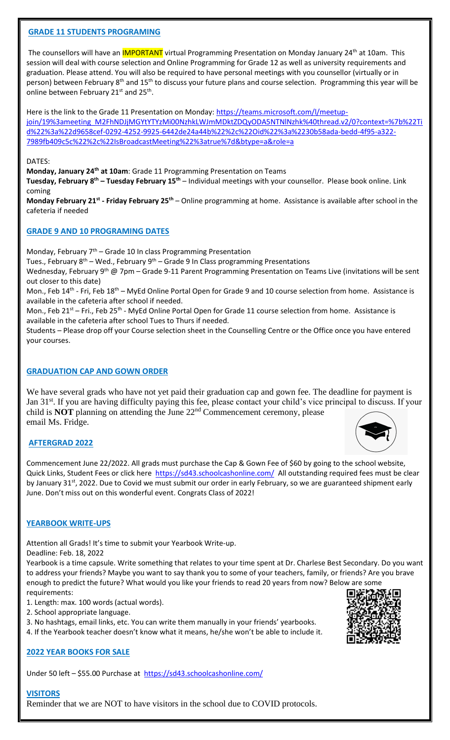## **GRADE 11 STUDENTS PROGRAMING**

The counsellors will have an **IMPORTANT** virtual Programming Presentation on Monday January 24<sup>th</sup> at 10am. This session will deal with course selection and Online Programming for Grade 12 as well as university requirements and graduation. Please attend. You will also be required to have personal meetings with you counsellor (virtually or in person) between February 8<sup>th</sup> and 15<sup>th</sup> to discuss your future plans and course selection. Programming this year will be online between February 21st and 25<sup>th</sup>.

Here is the link to the Grade 11 Presentation on Monday: [https://teams.microsoft.com/l/meetup](https://teams.microsoft.com/l/meetup-join/19%3ameeting_M2FhNDJjMGYtYTYzMi00NzhkLWJmMDktZDQyODA5NTNlNzhk%40thread.v2/0?context=%7b%22Tid%22%3a%22d9658cef-0292-4252-9925-6442de24a44b%22%2c%22Oid%22%3a%2230b58ada-bedd-4f95-a322-7989fb409c5c%22%2c%22IsBroadcastMeeting%22%3atrue%7d&btype=a&role=a)[join/19%3ameeting\\_M2FhNDJjMGYtYTYzMi00NzhkLWJmMDktZDQyODA5NTNlNzhk%40thread.v2/0?context=%7b%22Ti](https://teams.microsoft.com/l/meetup-join/19%3ameeting_M2FhNDJjMGYtYTYzMi00NzhkLWJmMDktZDQyODA5NTNlNzhk%40thread.v2/0?context=%7b%22Tid%22%3a%22d9658cef-0292-4252-9925-6442de24a44b%22%2c%22Oid%22%3a%2230b58ada-bedd-4f95-a322-7989fb409c5c%22%2c%22IsBroadcastMeeting%22%3atrue%7d&btype=a&role=a) [d%22%3a%22d9658cef-0292-4252-9925-6442de24a44b%22%2c%22Oid%22%3a%2230b58ada-bedd-4f95-a322-](https://teams.microsoft.com/l/meetup-join/19%3ameeting_M2FhNDJjMGYtYTYzMi00NzhkLWJmMDktZDQyODA5NTNlNzhk%40thread.v2/0?context=%7b%22Tid%22%3a%22d9658cef-0292-4252-9925-6442de24a44b%22%2c%22Oid%22%3a%2230b58ada-bedd-4f95-a322-7989fb409c5c%22%2c%22IsBroadcastMeeting%22%3atrue%7d&btype=a&role=a) [7989fb409c5c%22%2c%22IsBroadcastMeeting%22%3atrue%7d&btype=a&role=a](https://teams.microsoft.com/l/meetup-join/19%3ameeting_M2FhNDJjMGYtYTYzMi00NzhkLWJmMDktZDQyODA5NTNlNzhk%40thread.v2/0?context=%7b%22Tid%22%3a%22d9658cef-0292-4252-9925-6442de24a44b%22%2c%22Oid%22%3a%2230b58ada-bedd-4f95-a322-7989fb409c5c%22%2c%22IsBroadcastMeeting%22%3atrue%7d&btype=a&role=a)

#### DATES:

**Monday, January 24 th at 10am**: Grade 11 Programming Presentation on Teams

**Tuesday, February 8th – Tuesday February 15th** – Individual meetings with your counsellor. Please book online. Link coming

**Monday February 21st - Friday February 25th** – Online programming at home. Assistance is available after school in the cafeteria if needed

## **GRADE 9 AND 10 PROGRAMING DATES**

Monday, February  $7<sup>th</sup>$  – Grade 10 In class Programming Presentation

Tues., February  $8^{th}$  – Wed., February  $9^{th}$  – Grade 9 In Class programming Presentations

Wednesday, February 9<sup>th</sup> @ 7pm – Grade 9-11 Parent Programming Presentation on Teams Live (invitations will be sent out closer to this date)

Mon., Feb 14<sup>th</sup> - Fri, Feb 18<sup>th</sup> – MyEd Online Portal Open for Grade 9 and 10 course selection from home. Assistance is available in the cafeteria after school if needed.

Mon., Feb 21<sup>st</sup> – Fri., Feb 25<sup>th</sup> - MyEd Online Portal Open for Grade 11 course selection from home. Assistance is available in the cafeteria after school Tues to Thurs if needed.

Students – Please drop off your Course selection sheet in the Counselling Centre or the Office once you have entered your courses.

## **GRADUATION CAP AND GOWN ORDER**

We have several grads who have not yet paid their graduation cap and gown fee. The deadline for payment is Jan 31<sup>st</sup>. If you are having difficulty paying this fee, please contact your child's vice principal to discuss. If your child is **NOT** planning on attending the June 22nd Commencement ceremony, please email Ms. Fridge.

## **AFTERGRAD 2022**

Commencement June 22/2022. All grads must purchase the Cap & Gown Fee of \$60 by going to the school website, Quick Links, Student Fees or click here <https://sd43.schoolcashonline.com/> All outstanding required fees must be clear by January 31<sup>st</sup>, 2022. Due to Covid we must submit our order in early February, so we are guaranteed shipment early June. Don't miss out on this wonderful event. Congrats Class of 2022!

## **YEARBOOK WRITE-UPS**

Attention all Grads! It's time to submit your Yearbook Write-up.

Deadline: Feb. 18, 2022

Yearbook is a time capsule. Write something that relates to your time spent at Dr. Charlese Best Secondary. Do you want to address your friends? Maybe you want to say thank you to some of your teachers, family, or friends? Are you brave enough to predict the future? What would you like your friends to read 20 years from now? Below are some requirements:

- 1. Length: max. 100 words (actual words).
- 2. School appropriate language.

3. No hashtags, email links, etc. You can write them manually in your friends' yearbooks.

4. If the Yearbook teacher doesn't know what it means, he/she won't be able to include it.

# **2022 YEAR BOOKS FOR SALE**

Under 50 left – \$55.00 Purchase at <https://sd43.schoolcashonline.com/>

# **VISITORS**

Reminder that we are NOT to have visitors in the school due to COVID protocols.